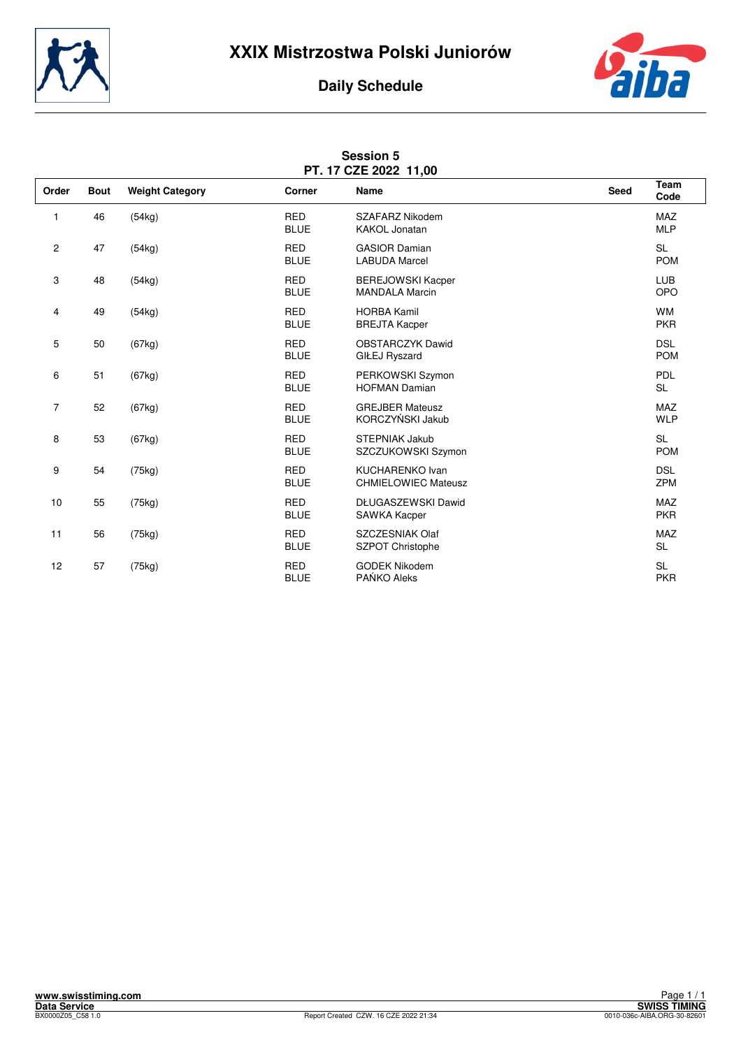



## **Daily Schedule**

| <b>Session 5</b><br>PT. 17 CZE 2022 11,00 |             |                        |                           |                                                      |             |                          |  |  |  |
|-------------------------------------------|-------------|------------------------|---------------------------|------------------------------------------------------|-------------|--------------------------|--|--|--|
| Order                                     | <b>Bout</b> | <b>Weight Category</b> | <b>Corner</b>             | Name                                                 | <b>Seed</b> | Team<br>Code             |  |  |  |
| 1                                         | 46          | (54kg)                 | <b>RED</b><br><b>BLUE</b> | SZAFARZ Nikodem<br><b>KAKOL Jonatan</b>              |             | MAZ<br><b>MLP</b>        |  |  |  |
| $\mathbf{2}$                              | 47          | (54kg)                 | <b>RED</b><br><b>BLUE</b> | <b>GASIOR Damian</b><br><b>LABUDA Marcel</b>         |             | <b>SL</b><br><b>POM</b>  |  |  |  |
| 3                                         | 48          | (54kg)                 | <b>RED</b><br><b>BLUE</b> | <b>BEREJOWSKI Kacper</b><br><b>MANDALA Marcin</b>    |             | <b>LUB</b><br>OPO        |  |  |  |
| 4                                         | 49          | (54kg)                 | <b>RED</b><br><b>BLUE</b> | <b>HORBA Kamil</b><br><b>BREJTA Kacper</b>           |             | <b>WM</b><br><b>PKR</b>  |  |  |  |
| 5                                         | 50          | (67kg)                 | <b>RED</b><br><b>BLUE</b> | <b>OBSTARCZYK Dawid</b><br><b>GIŁEJ Ryszard</b>      |             | <b>DSL</b><br><b>POM</b> |  |  |  |
| 6                                         | 51          | (67kg)                 | <b>RED</b><br><b>BLUE</b> | PERKOWSKI Szymon<br><b>HOFMAN Damian</b>             |             | <b>PDL</b><br><b>SL</b>  |  |  |  |
| $\overline{7}$                            | 52          | (67kg)                 | <b>RED</b><br><b>BLUE</b> | <b>GREJBER Mateusz</b><br>KORCZYŃSKI Jakub           |             | MAZ<br><b>WLP</b>        |  |  |  |
| 8                                         | 53          | (67kg)                 | <b>RED</b><br><b>BLUE</b> | <b>STEPNIAK Jakub</b><br>SZCZUKOWSKI Szymon          |             | <b>SL</b><br><b>POM</b>  |  |  |  |
| 9                                         | 54          | (75kg)                 | <b>RED</b><br><b>BLUE</b> | <b>KUCHARENKO Ivan</b><br><b>CHMIELOWIEC Mateusz</b> |             | <b>DSL</b><br><b>ZPM</b> |  |  |  |
| 10                                        | 55          | (75kg)                 | <b>RED</b><br><b>BLUE</b> | DŁUGASZEWSKI Dawid<br>SAWKA Kacper                   |             | <b>MAZ</b><br><b>PKR</b> |  |  |  |
| 11                                        | 56          | (75kg)                 | <b>RED</b><br><b>BLUE</b> | SZCZESNIAK Olaf<br><b>SZPOT Christophe</b>           |             | <b>MAZ</b><br><b>SL</b>  |  |  |  |
| 12                                        | 57          | (75kg)                 | <b>RED</b><br><b>BLUE</b> | <b>GODEK Nikodem</b><br>PAŃKO Aleks                  |             | <b>SL</b><br><b>PKR</b>  |  |  |  |